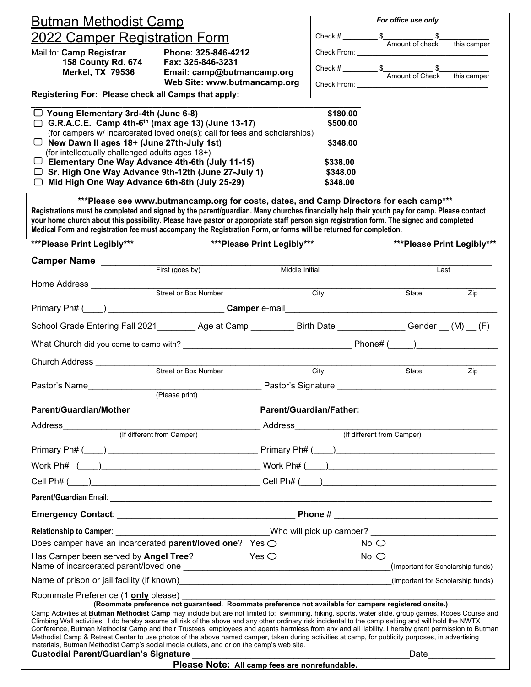| <u> Butman Methodist Camp</u>                                                                                                                                                                                                                                                                                                                                                                                                                                                                                                                                                                                                                                                                                                                                                                                                                                                                                                                                                                   |                                                 |                            | For office use only  |                                                                                   |     |  |  |  |
|-------------------------------------------------------------------------------------------------------------------------------------------------------------------------------------------------------------------------------------------------------------------------------------------------------------------------------------------------------------------------------------------------------------------------------------------------------------------------------------------------------------------------------------------------------------------------------------------------------------------------------------------------------------------------------------------------------------------------------------------------------------------------------------------------------------------------------------------------------------------------------------------------------------------------------------------------------------------------------------------------|-------------------------------------------------|----------------------------|----------------------|-----------------------------------------------------------------------------------|-----|--|--|--|
| <u>2022 Camper Registration Form</u>                                                                                                                                                                                                                                                                                                                                                                                                                                                                                                                                                                                                                                                                                                                                                                                                                                                                                                                                                            |                                                 |                            |                      | Check $\#\underline{\hspace{1cm}} \$$ Amount of check this camper                 |     |  |  |  |
| Mail to: Camp Registrar                                                                                                                                                                                                                                                                                                                                                                                                                                                                                                                                                                                                                                                                                                                                                                                                                                                                                                                                                                         | Phone: 325-846-4212                             |                            |                      |                                                                                   |     |  |  |  |
| <b>158 County Rd. 674</b><br><b>Merkel, TX 79536</b>                                                                                                                                                                                                                                                                                                                                                                                                                                                                                                                                                                                                                                                                                                                                                                                                                                                                                                                                            | Fax: 325-846-3231<br>Email: camp@butmancamp.org |                            |                      | Check # $$\frac{$}{\sqrt{25}}$ $$\frac{$}{\sqrt{25}}$ Amount of Check this camper |     |  |  |  |
|                                                                                                                                                                                                                                                                                                                                                                                                                                                                                                                                                                                                                                                                                                                                                                                                                                                                                                                                                                                                 | Web Site: www.butmancamp.org                    |                            |                      |                                                                                   |     |  |  |  |
| Registering For: Please check all Camps that apply:                                                                                                                                                                                                                                                                                                                                                                                                                                                                                                                                                                                                                                                                                                                                                                                                                                                                                                                                             |                                                 |                            |                      |                                                                                   |     |  |  |  |
| $\Box$ Young Elementary 3rd-4th (June 6-8)<br>$\Box$ G.R.A.C.E. Camp 4th-6 <sup>th</sup> (max age 13) (June 13-17)                                                                                                                                                                                                                                                                                                                                                                                                                                                                                                                                                                                                                                                                                                                                                                                                                                                                              |                                                 |                            | \$180.00<br>\$500.00 |                                                                                   |     |  |  |  |
| (for campers w/ incarcerated loved one(s); call for fees and scholarships)                                                                                                                                                                                                                                                                                                                                                                                                                                                                                                                                                                                                                                                                                                                                                                                                                                                                                                                      |                                                 |                            |                      |                                                                                   |     |  |  |  |
| $\Box$ New Dawn II ages 18+ (June 27th-July 1st)<br>(for intellectually challenged adults ages 18+)                                                                                                                                                                                                                                                                                                                                                                                                                                                                                                                                                                                                                                                                                                                                                                                                                                                                                             |                                                 |                            | \$348.00             |                                                                                   |     |  |  |  |
| $\Box$ Elementary One Way Advance 4th-6th (July 11-15)                                                                                                                                                                                                                                                                                                                                                                                                                                                                                                                                                                                                                                                                                                                                                                                                                                                                                                                                          |                                                 |                            | \$338.00             |                                                                                   |     |  |  |  |
| $\Box$ Sr. High One Way Advance 9th-12th (June 27-July 1)<br>□ Mid High One Way Advance 6th-8th (July 25-29)                                                                                                                                                                                                                                                                                                                                                                                                                                                                                                                                                                                                                                                                                                                                                                                                                                                                                    |                                                 |                            | \$348.00<br>\$348.00 |                                                                                   |     |  |  |  |
|                                                                                                                                                                                                                                                                                                                                                                                                                                                                                                                                                                                                                                                                                                                                                                                                                                                                                                                                                                                                 |                                                 |                            |                      |                                                                                   |     |  |  |  |
| ***Please see www.butmancamp.org for costs, dates, and Camp Directors for each camp***<br>Registrations must be completed and signed by the parent/guardian. Many churches financially help their youth pay for camp. Please contact<br>your home church about this possibility. Please have pastor or appropriate staff person sign registration form. The signed and completed<br>Medical Form and registration fee must accompany the Registration Form, or forms will be returned for completion.                                                                                                                                                                                                                                                                                                                                                                                                                                                                                           |                                                 |                            |                      |                                                                                   |     |  |  |  |
| ***Please Print Legibly***                                                                                                                                                                                                                                                                                                                                                                                                                                                                                                                                                                                                                                                                                                                                                                                                                                                                                                                                                                      |                                                 | ***Please Print Legibly*** |                      | ***Please Print Legibly***                                                        |     |  |  |  |
| <b>Camper Name</b> First (goes by)                                                                                                                                                                                                                                                                                                                                                                                                                                                                                                                                                                                                                                                                                                                                                                                                                                                                                                                                                              |                                                 | Middle Initial             |                      | Last                                                                              |     |  |  |  |
| Home Address ______________                                                                                                                                                                                                                                                                                                                                                                                                                                                                                                                                                                                                                                                                                                                                                                                                                                                                                                                                                                     |                                                 |                            |                      |                                                                                   |     |  |  |  |
|                                                                                                                                                                                                                                                                                                                                                                                                                                                                                                                                                                                                                                                                                                                                                                                                                                                                                                                                                                                                 | Street or Box Number                            |                            | City                 | State                                                                             | Zip |  |  |  |
| Primary Ph# ( ) Camper e-mail                                                                                                                                                                                                                                                                                                                                                                                                                                                                                                                                                                                                                                                                                                                                                                                                                                                                                                                                                                   |                                                 |                            |                      |                                                                                   |     |  |  |  |
| School Grade Entering Fall 2021___________ Age at Camp ____________ Birth Date _______________Gender __ (M) __ (F)                                                                                                                                                                                                                                                                                                                                                                                                                                                                                                                                                                                                                                                                                                                                                                                                                                                                              |                                                 |                            |                      |                                                                                   |     |  |  |  |
|                                                                                                                                                                                                                                                                                                                                                                                                                                                                                                                                                                                                                                                                                                                                                                                                                                                                                                                                                                                                 |                                                 |                            |                      |                                                                                   |     |  |  |  |
| Church Address ____________                                                                                                                                                                                                                                                                                                                                                                                                                                                                                                                                                                                                                                                                                                                                                                                                                                                                                                                                                                     |                                                 |                            |                      |                                                                                   |     |  |  |  |
|                                                                                                                                                                                                                                                                                                                                                                                                                                                                                                                                                                                                                                                                                                                                                                                                                                                                                                                                                                                                 | Street or Box Number                            |                            | City                 | State                                                                             | Zip |  |  |  |
|                                                                                                                                                                                                                                                                                                                                                                                                                                                                                                                                                                                                                                                                                                                                                                                                                                                                                                                                                                                                 |                                                 |                            |                      |                                                                                   |     |  |  |  |
|                                                                                                                                                                                                                                                                                                                                                                                                                                                                                                                                                                                                                                                                                                                                                                                                                                                                                                                                                                                                 |                                                 |                            |                      |                                                                                   |     |  |  |  |
|                                                                                                                                                                                                                                                                                                                                                                                                                                                                                                                                                                                                                                                                                                                                                                                                                                                                                                                                                                                                 |                                                 |                            |                      |                                                                                   |     |  |  |  |
|                                                                                                                                                                                                                                                                                                                                                                                                                                                                                                                                                                                                                                                                                                                                                                                                                                                                                                                                                                                                 |                                                 |                            |                      |                                                                                   |     |  |  |  |
|                                                                                                                                                                                                                                                                                                                                                                                                                                                                                                                                                                                                                                                                                                                                                                                                                                                                                                                                                                                                 |                                                 |                            |                      |                                                                                   |     |  |  |  |
|                                                                                                                                                                                                                                                                                                                                                                                                                                                                                                                                                                                                                                                                                                                                                                                                                                                                                                                                                                                                 |                                                 |                            |                      |                                                                                   |     |  |  |  |
|                                                                                                                                                                                                                                                                                                                                                                                                                                                                                                                                                                                                                                                                                                                                                                                                                                                                                                                                                                                                 |                                                 |                            |                      |                                                                                   |     |  |  |  |
|                                                                                                                                                                                                                                                                                                                                                                                                                                                                                                                                                                                                                                                                                                                                                                                                                                                                                                                                                                                                 |                                                 |                            |                      |                                                                                   |     |  |  |  |
|                                                                                                                                                                                                                                                                                                                                                                                                                                                                                                                                                                                                                                                                                                                                                                                                                                                                                                                                                                                                 |                                                 |                            |                      |                                                                                   |     |  |  |  |
| <b>Relationship to Camper:</b> Note that the set of the set of the Second Who will pick up camper?                                                                                                                                                                                                                                                                                                                                                                                                                                                                                                                                                                                                                                                                                                                                                                                                                                                                                              |                                                 |                            |                      |                                                                                   |     |  |  |  |
| Does camper have an incarcerated <b>parent/loved one</b> ? Yes $\bigcirc$                                                                                                                                                                                                                                                                                                                                                                                                                                                                                                                                                                                                                                                                                                                                                                                                                                                                                                                       |                                                 |                            |                      | $No$ $\bigcirc$                                                                   |     |  |  |  |
| Has Camper been served by Angel Tree?                                                                                                                                                                                                                                                                                                                                                                                                                                                                                                                                                                                                                                                                                                                                                                                                                                                                                                                                                           |                                                 | Yes $\bigcirc$             |                      | $No$ $\bigcirc$<br>(Important for Scholarship funds)                              |     |  |  |  |
| Name of prison or jail facility (if known)<br>Name of prison or jail facility (if known)<br>2003 - 2008 - 2014<br>2008 - 2014<br>2014<br>2015 - 2022 - 2023<br>2014 - 2023 - 2024<br>2015 - 2024<br>2025 - 2024 - 2024<br>2025 - 2024 - 2024<br>20                                                                                                                                                                                                                                                                                                                                                                                                                                                                                                                                                                                                                                                                                                                                              |                                                 |                            |                      |                                                                                   |     |  |  |  |
| Roommate Preference (1 <b>only</b> please) _______                                                                                                                                                                                                                                                                                                                                                                                                                                                                                                                                                                                                                                                                                                                                                                                                                                                                                                                                              |                                                 |                            |                      |                                                                                   |     |  |  |  |
| (Roommate preference not guaranteed. Roommate preference not available for campers registered onsite.)<br>Camp Activities at Butman Methodist Camp may include but are not limited to: swimming, hiking, sports, water slide, group games, Ropes Course and<br>Climbing Wall activities. I do hereby assume all risk of the above and any other ordinary risk incidental to the camp setting and will hold the NWTX<br>Conference, Butman Methodist Camp and their Trustees, employees and agents harmless from any and all liability. I hereby grant permission to Butman<br>Methodist Camp & Retreat Center to use photos of the above named camper, taken during activities at camp, for publicity purposes, in advertising<br>materials, Butman Methodist Camp's social media outlets, and or on the camp's web site.<br><b>Custodial Parent/Guardian's Signature</b><br>Date ________________<br>the control of the control of the control of the control of the control of the control of |                                                 |                            |                      |                                                                                   |     |  |  |  |
| Please Note: All camp fees are nonrefundable.                                                                                                                                                                                                                                                                                                                                                                                                                                                                                                                                                                                                                                                                                                                                                                                                                                                                                                                                                   |                                                 |                            |                      |                                                                                   |     |  |  |  |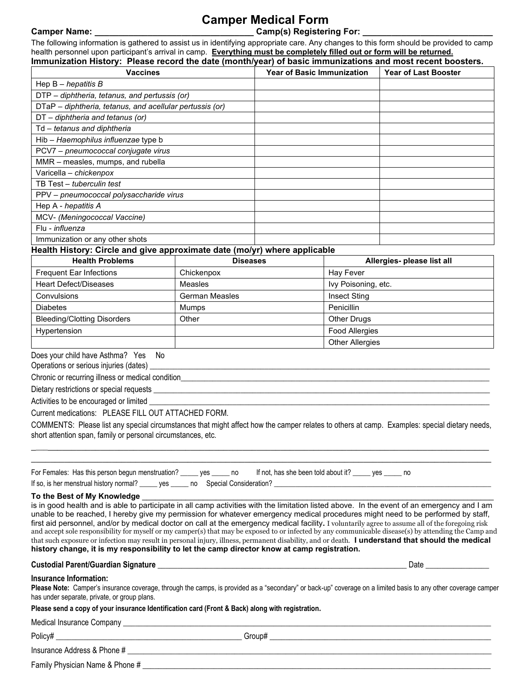## **Camper Medical Form**

#### **Camper Name: \_\_\_\_\_\_\_\_\_\_\_\_\_\_\_\_\_\_\_\_\_\_\_\_\_\_\_\_\_\_\_\_\_ Camp(s) Registering For: \_\_\_\_\_\_\_\_\_\_\_\_\_\_\_\_\_\_\_\_\_\_\_\_\_\_\_**

#### The following information is gathered to assist us in identifying appropriate care. Any changes to this form should be provided to camp health personnel upon participant's arrival in camp. **Everything must be completely filled out or form will be returned.**

| Immunization History: Please record the date (month/year) of basic immunizations and most recent boosters. |                                   |                             |  |  |  |  |
|------------------------------------------------------------------------------------------------------------|-----------------------------------|-----------------------------|--|--|--|--|
| <b>Vaccines</b>                                                                                            | <b>Year of Basic Immunization</b> | <b>Year of Last Booster</b> |  |  |  |  |
| Hep $B$ – hepatitis $B$                                                                                    |                                   |                             |  |  |  |  |
| DTP - diphtheria, tetanus, and pertussis (or)                                                              |                                   |                             |  |  |  |  |
| DTaP - diphtheria, tetanus, and acellular pertussis (or)                                                   |                                   |                             |  |  |  |  |
| $DT$ – diphtheria and tetanus (or)                                                                         |                                   |                             |  |  |  |  |
| Td - tetanus and diphtheria                                                                                |                                   |                             |  |  |  |  |
| Hib - Haemophilus influenzae type b                                                                        |                                   |                             |  |  |  |  |
| PCV7 - pneumococcal conjugate virus                                                                        |                                   |                             |  |  |  |  |
| MMR - measles, mumps, and rubella                                                                          |                                   |                             |  |  |  |  |
| Varicella – chickenpox                                                                                     |                                   |                             |  |  |  |  |
| TB Test – tuberculin test                                                                                  |                                   |                             |  |  |  |  |
| PPV - pneumococcal polysaccharide virus                                                                    |                                   |                             |  |  |  |  |
| Hep A - hepatitis A                                                                                        |                                   |                             |  |  |  |  |
| MCV- (Meningococcal Vaccine)                                                                               |                                   |                             |  |  |  |  |
| Flu - <i>influenza</i>                                                                                     |                                   |                             |  |  |  |  |
| Immunization or any other shots                                                                            |                                   |                             |  |  |  |  |

#### **Health History: Circle and give approximate date (mo/yr) where applicable**

| <b>Health Problems</b>             | <b>Diseases</b>       | Allergies- please list all |
|------------------------------------|-----------------------|----------------------------|
| <b>Frequent Ear Infections</b>     | Chickenpox            | Hay Fever                  |
| <b>Heart Defect/Diseases</b>       | Measles               | Ivy Poisoning, etc.        |
| Convulsions                        | <b>German Measles</b> | <b>Insect Sting</b>        |
| <b>Diabetes</b>                    | Mumps                 | Penicillin                 |
| <b>Bleeding/Clotting Disorders</b> | Other                 | <b>Other Drugs</b>         |
| Hypertension                       |                       | <b>Food Allergies</b>      |
|                                    |                       | <b>Other Allergies</b>     |

### Does your child have Asthma? Yes No

Operations or serious injuries (dates) \_\_\_\_\_\_\_\_\_\_\_\_\_\_\_\_\_\_\_\_\_\_\_\_\_\_\_\_\_\_\_\_\_\_\_\_\_\_\_\_\_\_\_\_\_\_\_\_\_\_\_\_\_\_\_\_\_\_\_\_\_\_\_\_\_\_\_\_\_\_\_\_\_\_\_\_\_\_\_\_\_\_\_\_\_\_

Chronic or recurring illness or medical condition\_

Dietary restrictions or special requests

Activities to be encouraged or limited \_\_\_\_\_\_\_\_\_\_\_\_\_\_\_\_\_\_\_\_\_\_\_\_\_\_\_\_\_\_\_\_\_\_\_\_\_\_\_\_\_\_\_\_\_\_\_\_\_\_\_\_\_\_\_\_\_\_\_\_\_\_\_\_\_\_\_\_\_\_\_\_\_\_\_\_\_\_\_\_\_\_\_\_\_\_

#### Current medications: PLEASE FILL OUT ATTACHED FORM.

COMMENTS: Please list any special circumstances that might affect how the camper relates to others at camp. Examples: special dietary needs, short attention span, family or personal circumstances, etc.  $\overline{\phantom{a}}$  , and the contract of the contract of the contract of the contract of the contract of the contract of the contract of the contract of the contract of the contract of the contract of the contract of the contrac

\_\_\_\_\_\_\_\_\_\_\_\_\_\_\_\_\_\_\_\_\_\_\_\_\_\_\_\_\_\_\_\_\_\_\_\_\_\_\_\_\_\_\_\_\_\_\_\_\_\_\_\_\_\_\_\_\_\_\_\_\_\_\_\_\_\_\_\_\_\_\_\_\_\_\_\_\_\_\_\_\_\_\_\_\_\_\_\_\_\_\_\_\_\_\_\_\_

| For Females: Has this person begun menstruation? | ves no                    | If not, has she been told about it? | ves |  |
|--------------------------------------------------|---------------------------|-------------------------------------|-----|--|
| If so, is her menstrual history normal?<br>ves   | no Special Consideration? |                                     |     |  |

#### **To the Best of My Knowledge**

is in good health and is able to participate in all camp activities with the limitation listed above. In the event of an emergency and I am unable to be reached, I hereby give my permission for whatever emergency medical procedures might need to be performed by staff, first aid personnel, and/or by medical doctor on call at the emergency medical facility**.** I voluntarily agree to assume all of the foregoing risk and accept sole responsibility for myself or my camper(s) that may be exposed to or infected by any communicable disease(s) by attending the Camp and that such exposure or infection may result in personal injury, illness, permanent disability, and or death. **I understand that should the medical history change, it is my responsibility to let the camp director know at camp registration.**

#### **Custodial Parent/Guardian Signature** experience that the set of the set of the set of the set of the set of the set of the set of the set of the set of the set of the set of the set of the set of the set of the set of the

#### **Insurance Information:**

**Please Note:** Camper's insurance coverage, through the camps, is provided as a "secondary" or back-up" coverage on a limited basis to any other coverage camper has under separate, private, or group plans.

#### **Please send a copy of your insurance Identification card (Front & Back) along with registration.**

Medical Insurance Company

Insurance Address & Phone #

Family Physician Name & Phone #

Policy# \_\_\_\_\_\_\_\_\_\_\_\_\_\_\_\_\_\_\_\_\_\_\_\_\_\_\_\_\_\_\_\_\_\_\_\_\_\_\_\_\_\_\_\_\_\_\_ Group# \_\_\_\_\_\_\_\_\_\_\_\_\_\_\_\_\_\_\_\_\_\_\_\_\_\_\_\_\_\_\_\_\_\_\_\_\_\_\_\_\_\_\_\_\_\_\_\_\_\_\_\_\_\_\_\_